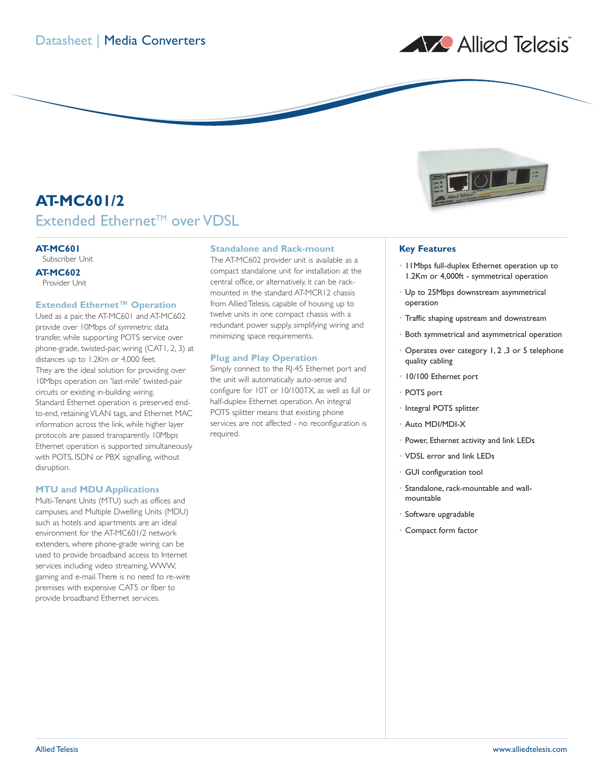

# **AT-MC601/2** Extended Ethernet<sup>™</sup> over VDSL

# **AT-MC601**

Subscriber Unit

# **AT-MC602**

Provider Unit

# **Extended Ethernet™ Operation**

Used as a pair, the AT-MC601 and AT-MC602 provide over 10Mbps of symmetric data transfer, while supporting POTS service over phone-grade, twisted-pair, wiring (CAT1, 2, 3) at distances up to 1.2Km or 4,000 feet. They are the ideal solution for providing over 10Mbps operation on 'last-mile' twisted-pair circuits or existing in-building wiring. Standard Ethernet operation is preserved endto-end, retaining VLAN tags, and Ethernet MAC information across the link, while higher layer protocols are passed transparently. 10Mbps Ethernet operation is supported simultaneously with POTS, ISDN or PBX signalling, without disruption.

# **MTU and MDU Applications**

Multi-Tenant Units (MTU) such as offices and campuses, and Multiple Dwelling Units (MDU) such as hotels and apartments are an ideal environment for the AT-MC601/2 network extenders, where phone-grade wiring can be used to provide broadband access to Internet services including video streaming,WWW, gaming and e-mail.There is no need to re-wire premises with expensive CAT5 or fiber to provide broadband Ethernet services.

# **Standalone and Rack-mount**

The AT-MC602 provider unit is available as a compact standalone unit for installation at the central office, or alternatively, it can be rackmounted in the standard AT-MCR12 chassis from Allied Telesis, capable of housing up to twelve units in one compact chassis with a redundant power supply, simplifying wiring and minimizing space requirements.

#### **Plug and Play Operation**

Simply connect to the RJ-45 Ethernet port and the unit will automatically auto-sense and configure for 10T or 10/100TX, as well as full or half-duplex Ethernet operation. An integral POTS splitter means that existing phone services are not affected - no reconfiguration is required.



# **Key Features**

- 11Mbps full-duplex Ethernet operation up to 1.2Km or 4,000ft - symmetrical operation
- Up to 25Mbps downstream asymmetrical operation
- Traffic shaping upstream and downstream
- Both symmetrical and asymmetrical operation
- Operates over category 1, 2 ,3 or 5 telephone quality cabling
- 10/100 Ethernet port
- POTS port
- Integral POTS splitter
- Auto MDI/MDI-X
- Power, Ethernet activity and link LEDs
- VDSL error and link LEDs
- GUI configuration tool
- Standalone, rack-mountable and wallmountable
- Software upgradable
- Compact form factor